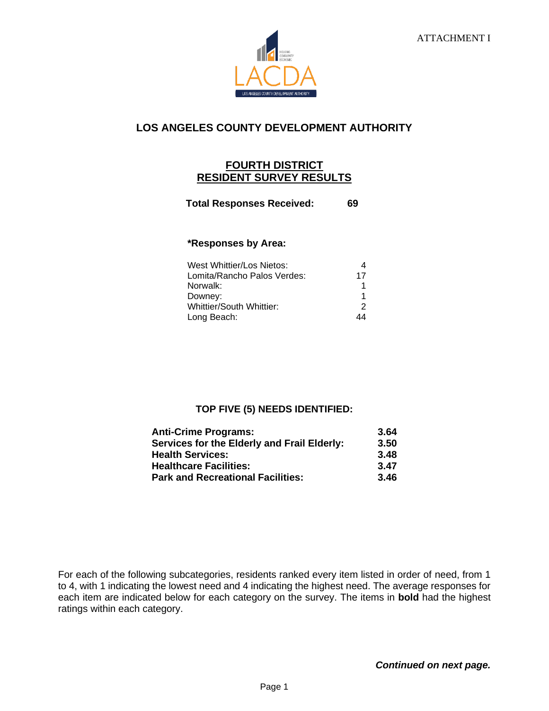

# **LOS ANGELES COUNTY DEVELOPMENT AUTHORITY**

## **FOURTH DISTRICT RESIDENT SURVEY RESULTS**

**Total Responses Received: 69**

#### **\*Responses by Area:**

| West Whittier/Los Nietos:   |    |
|-----------------------------|----|
| Lomita/Rancho Palos Verdes: | 17 |
| Norwalk:                    |    |
| Downey:                     |    |
| Whittier/South Whittier:    | 2  |
| Long Beach:                 |    |

### **TOP FIVE (5) NEEDS IDENTIFIED:**

| <b>Anti-Crime Programs:</b>                 | 3.64 |
|---------------------------------------------|------|
| Services for the Elderly and Frail Elderly: | 3.50 |
| <b>Health Services:</b>                     | 3.48 |
| <b>Healthcare Facilities:</b>               | 3.47 |
| <b>Park and Recreational Facilities:</b>    | 3.46 |

For each of the following subcategories, residents ranked every item listed in order of need, from 1 to 4, with 1 indicating the lowest need and 4 indicating the highest need. The average responses for each item are indicated below for each category on the survey. The items in **bold** had the highest ratings within each category.